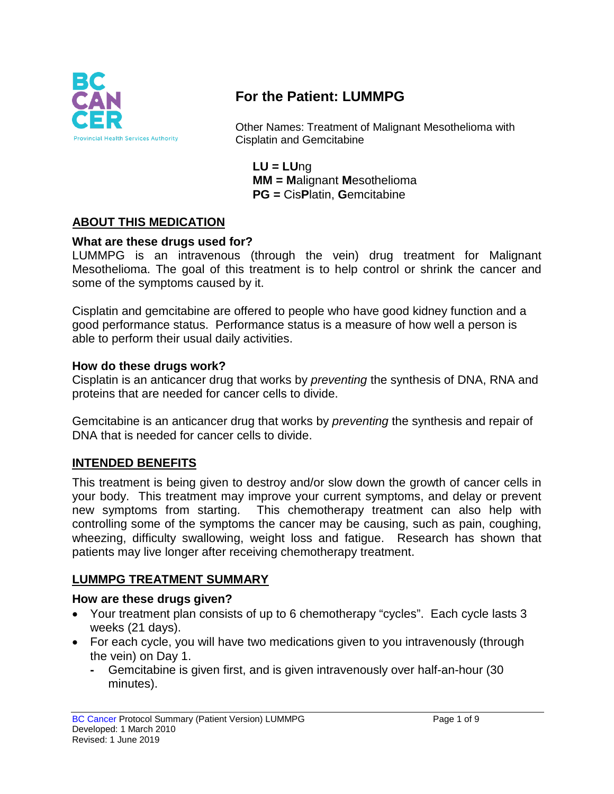

# **For the Patient: LUMMPG**

Other Names: Treatment of Malignant Mesothelioma with Cisplatin and Gemcitabine

**LU = LU**ng **MM = M**alignant **M**esothelioma **PG =** Cis**P**latin, **G**emcitabine

### **ABOUT THIS MEDICATION**

#### **What are these drugs used for?**

LUMMPG is an intravenous (through the vein) drug treatment for Malignant Mesothelioma. The goal of this treatment is to help control or shrink the cancer and some of the symptoms caused by it.

Cisplatin and gemcitabine are offered to people who have good kidney function and a good performance status. Performance status is a measure of how well a person is able to perform their usual daily activities.

#### **How do these drugs work?**

Cisplatin is an anticancer drug that works by *preventing* the synthesis of DNA, RNA and proteins that are needed for cancer cells to divide.

Gemcitabine is an anticancer drug that works by *preventing* the synthesis and repair of DNA that is needed for cancer cells to divide.

#### **INTENDED BENEFITS**

This treatment is being given to destroy and/or slow down the growth of cancer cells in your body. This treatment may improve your current symptoms, and delay or prevent new symptoms from starting. This chemotherapy treatment can also help with controlling some of the symptoms the cancer may be causing, such as pain, coughing, wheezing, difficulty swallowing, weight loss and fatigue. Research has shown that patients may live longer after receiving chemotherapy treatment.

#### **LUMMPG TREATMENT SUMMARY**

#### **How are these drugs given?**

- Your treatment plan consists of up to 6 chemotherapy "cycles". Each cycle lasts 3 weeks (21 days).
- For each cycle, you will have two medications given to you intravenously (through the vein) on Day 1.
	- **-** Gemcitabine is given first, and is given intravenously over half-an-hour (30 minutes).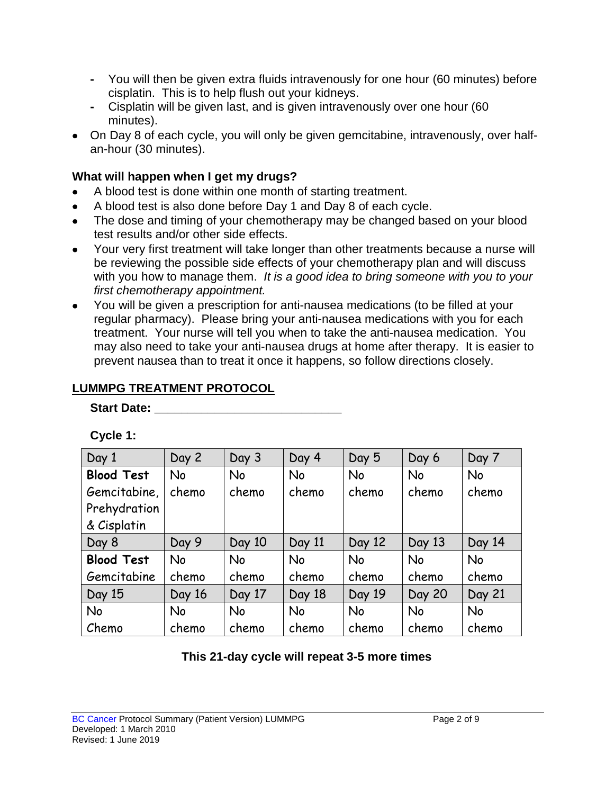- **-** You will then be given extra fluids intravenously for one hour (60 minutes) before cisplatin. This is to help flush out your kidneys.
- **-** Cisplatin will be given last, and is given intravenously over one hour (60 minutes).
- On Day 8 of each cycle, you will only be given gemcitabine, intravenously, over halfan-hour (30 minutes).

### **What will happen when I get my drugs?**

- A blood test is done within one month of starting treatment.
- A blood test is also done before Day 1 and Day 8 of each cycle.
- The dose and timing of your chemotherapy may be changed based on your blood test results and/or other side effects.
- Your very first treatment will take longer than other treatments because a nurse will be reviewing the possible side effects of your chemotherapy plan and will discuss with you how to manage them. *It is a good idea to bring someone with you to your first chemotherapy appointment.*
- You will be given a prescription for anti-nausea medications (to be filled at your regular pharmacy). Please bring your anti-nausea medications with you for each treatment. Your nurse will tell you when to take the anti-nausea medication. You may also need to take your anti-nausea drugs at home after therapy. It is easier to prevent nausea than to treat it once it happens, so follow directions closely.

### **LUMMPG TREATMENT PROTOCOL**

#### Start Date: **With Start Date:**

| Day 1             | Day 2     | Day 3     | Day 4     | Day 5     | Day 6         | Day 7     |
|-------------------|-----------|-----------|-----------|-----------|---------------|-----------|
| <b>Blood Test</b> | <b>No</b> | No        | <b>No</b> | <b>No</b> | <b>No</b>     | <b>No</b> |
| Gemcitabine,      | chemo     | chemo     | chemo     | chemo     | chemo         | chemo     |
| Prehydration      |           |           |           |           |               |           |
| & Cisplatin       |           |           |           |           |               |           |
| Day 8             | Day 9     | Day 10    | Day 11    | Day 12    | Day 13        | Day 14    |
| <b>Blood Test</b> | <b>No</b> | <b>No</b> | <b>No</b> | <b>No</b> | <b>No</b>     | <b>No</b> |
| Gemcitabine       | chemo     | chemo     | chemo     | chemo     | chemo         | chemo     |
| Day 15            | Day 16    | Day 17    | Day 18    | Day 19    | <b>Day 20</b> | Day 21    |
| <b>No</b>         | <b>No</b> | <b>No</b> | <b>No</b> | <b>No</b> | <b>No</b>     | <b>No</b> |
| Chemo             | chemo     | chemo     | chemo     | chemo     | chemo         | chemo     |

**Cycle 1:**

**This 21-day cycle will repeat 3-5 more times**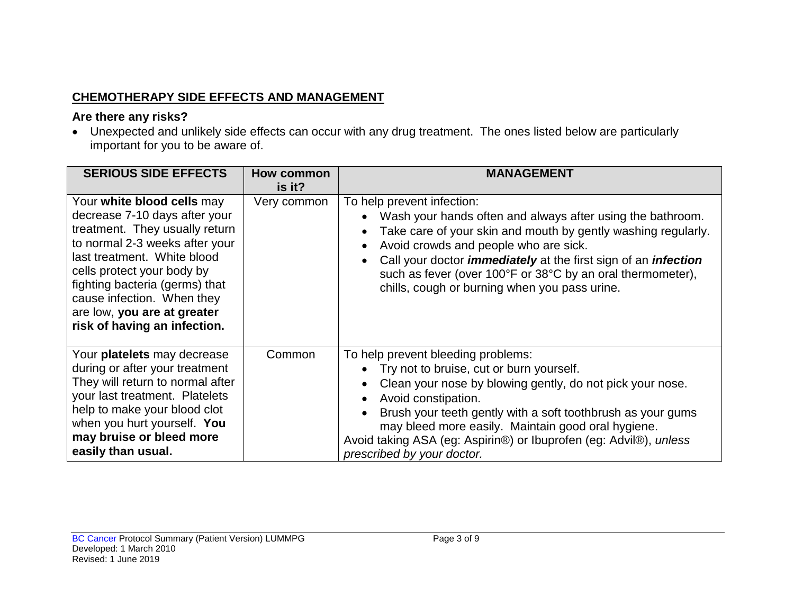## **CHEMOTHERAPY SIDE EFFECTS AND MANAGEMENT**

#### **Are there any risks?**

• Unexpected and unlikely side effects can occur with any drug treatment. The ones listed below are particularly important for you to be aware of.

| <b>SERIOUS SIDE EFFECTS</b>                                                                                                                                                                                                                                                                                                 | <b>How common</b><br>is it? | <b>MANAGEMENT</b>                                                                                                                                                                                                                                                                                                                                                                                 |
|-----------------------------------------------------------------------------------------------------------------------------------------------------------------------------------------------------------------------------------------------------------------------------------------------------------------------------|-----------------------------|---------------------------------------------------------------------------------------------------------------------------------------------------------------------------------------------------------------------------------------------------------------------------------------------------------------------------------------------------------------------------------------------------|
| Your white blood cells may<br>decrease 7-10 days after your<br>treatment. They usually return<br>to normal 2-3 weeks after your<br>last treatment. White blood<br>cells protect your body by<br>fighting bacteria (germs) that<br>cause infection. When they<br>are low, you are at greater<br>risk of having an infection. | Very common                 | To help prevent infection:<br>Wash your hands often and always after using the bathroom.<br>Take care of your skin and mouth by gently washing regularly.<br>Avoid crowds and people who are sick.<br>Call your doctor <i>immediately</i> at the first sign of an <i>infection</i><br>such as fever (over 100°F or 38°C by an oral thermometer),<br>chills, cough or burning when you pass urine. |
| Your platelets may decrease<br>during or after your treatment<br>They will return to normal after<br>your last treatment. Platelets<br>help to make your blood clot<br>when you hurt yourself. You<br>may bruise or bleed more<br>easily than usual.                                                                        | Common                      | To help prevent bleeding problems:<br>Try not to bruise, cut or burn yourself.<br>Clean your nose by blowing gently, do not pick your nose.<br>Avoid constipation.<br>Brush your teeth gently with a soft toothbrush as your gums<br>may bleed more easily. Maintain good oral hygiene.<br>Avoid taking ASA (eg: Aspirin®) or Ibuprofen (eg: Advil®), unless<br>prescribed by your doctor.        |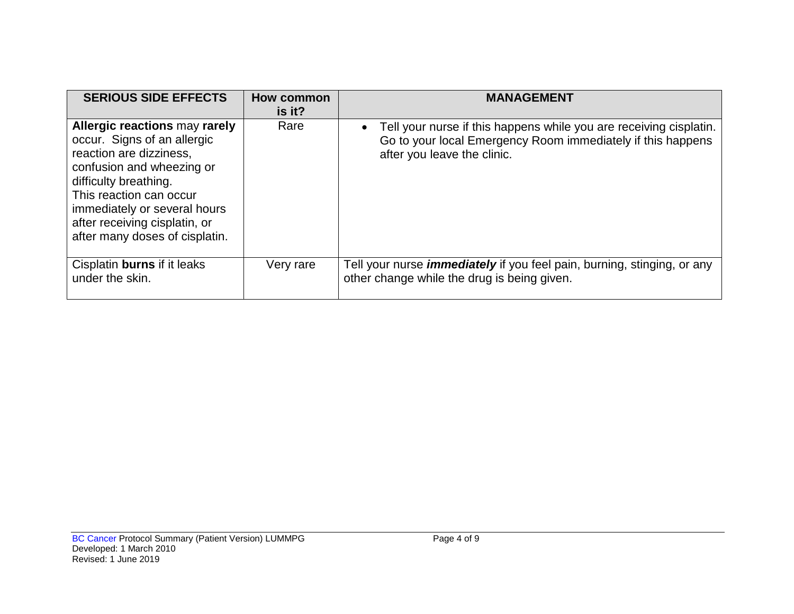| <b>SERIOUS SIDE EFFECTS</b>                                                                                                                                                                                                                                                 | How common<br>is it? | <b>MANAGEMENT</b>                                                                                                                                                |
|-----------------------------------------------------------------------------------------------------------------------------------------------------------------------------------------------------------------------------------------------------------------------------|----------------------|------------------------------------------------------------------------------------------------------------------------------------------------------------------|
| Allergic reactions may rarely<br>occur. Signs of an allergic<br>reaction are dizziness,<br>confusion and wheezing or<br>difficulty breathing.<br>This reaction can occur<br>immediately or several hours<br>after receiving cisplatin, or<br>after many doses of cisplatin. | Rare                 | Tell your nurse if this happens while you are receiving cisplatin.<br>Go to your local Emergency Room immediately if this happens<br>after you leave the clinic. |
| Cisplatin burns if it leaks<br>under the skin.                                                                                                                                                                                                                              | Very rare            | Tell your nurse <i>immediately</i> if you feel pain, burning, stinging, or any<br>other change while the drug is being given.                                    |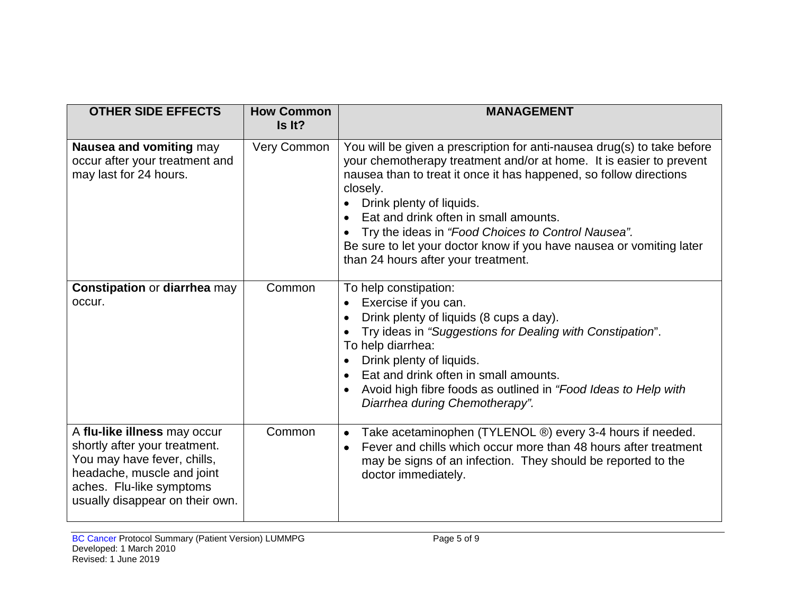| <b>OTHER SIDE EFFECTS</b>                                                                                                                                                                 | <b>How Common</b><br>Is It? | <b>MANAGEMENT</b>                                                                                                                                                                                                                                                                                                                                                                                                                                                                       |
|-------------------------------------------------------------------------------------------------------------------------------------------------------------------------------------------|-----------------------------|-----------------------------------------------------------------------------------------------------------------------------------------------------------------------------------------------------------------------------------------------------------------------------------------------------------------------------------------------------------------------------------------------------------------------------------------------------------------------------------------|
| Nausea and vomiting may<br>occur after your treatment and<br>may last for 24 hours.                                                                                                       | Very Common                 | You will be given a prescription for anti-nausea drug(s) to take before<br>your chemotherapy treatment and/or at home. It is easier to prevent<br>nausea than to treat it once it has happened, so follow directions<br>closely.<br>Drink plenty of liquids.<br>Eat and drink often in small amounts.<br>$\bullet$<br>Try the ideas in "Food Choices to Control Nausea".<br>Be sure to let your doctor know if you have nausea or vomiting later<br>than 24 hours after your treatment. |
| <b>Constipation or diarrhea may</b><br>occur.                                                                                                                                             | Common                      | To help constipation:<br>Exercise if you can.<br>$\bullet$<br>Drink plenty of liquids (8 cups a day).<br>Try ideas in "Suggestions for Dealing with Constipation".<br>To help diarrhea:<br>Drink plenty of liquids.<br>Eat and drink often in small amounts.<br>$\bullet$<br>Avoid high fibre foods as outlined in "Food Ideas to Help with<br>Diarrhea during Chemotherapy".                                                                                                           |
| A flu-like illness may occur<br>shortly after your treatment.<br>You may have fever, chills,<br>headache, muscle and joint<br>aches. Flu-like symptoms<br>usually disappear on their own. | Common                      | Take acetaminophen (TYLENOL ®) every 3-4 hours if needed.<br>$\bullet$<br>Fever and chills which occur more than 48 hours after treatment<br>$\bullet$<br>may be signs of an infection. They should be reported to the<br>doctor immediately.                                                                                                                                                                                                                                           |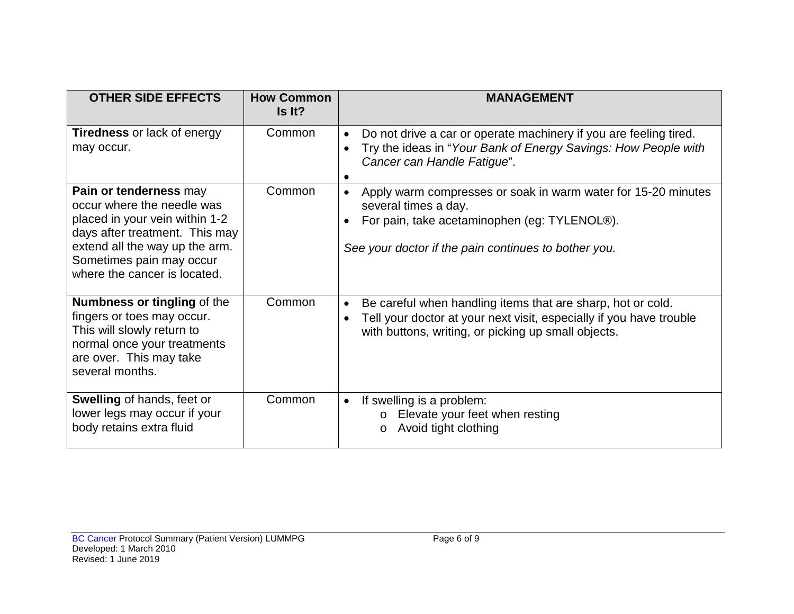| <b>OTHER SIDE EFFECTS</b>                                                                                                                                                                                              | <b>How Common</b><br>Is It? | <b>MANAGEMENT</b>                                                                                                                                                                             |
|------------------------------------------------------------------------------------------------------------------------------------------------------------------------------------------------------------------------|-----------------------------|-----------------------------------------------------------------------------------------------------------------------------------------------------------------------------------------------|
| <b>Tiredness</b> or lack of energy<br>may occur.                                                                                                                                                                       | Common                      | Do not drive a car or operate machinery if you are feeling tired.<br>Try the ideas in "Your Bank of Energy Savings: How People with<br>$\bullet$<br>Cancer can Handle Fatigue".               |
| Pain or tenderness may<br>occur where the needle was<br>placed in your vein within 1-2<br>days after treatment. This may<br>extend all the way up the arm.<br>Sometimes pain may occur<br>where the cancer is located. | Common                      | Apply warm compresses or soak in warm water for 15-20 minutes<br>several times a day.<br>For pain, take acetaminophen (eg: TYLENOL®).<br>See your doctor if the pain continues to bother you. |
| <b>Numbness or tingling of the</b><br>fingers or toes may occur.<br>This will slowly return to<br>normal once your treatments<br>are over. This may take<br>several months.                                            | Common                      | Be careful when handling items that are sharp, hot or cold.<br>Tell your doctor at your next visit, especially if you have trouble<br>with buttons, writing, or picking up small objects.     |
| <b>Swelling of hands, feet or</b><br>lower legs may occur if your<br>body retains extra fluid                                                                                                                          | Common                      | If swelling is a problem:<br>$\bullet$<br>Elevate your feet when resting<br>$\circ$<br>Avoid tight clothing<br>$\circ$                                                                        |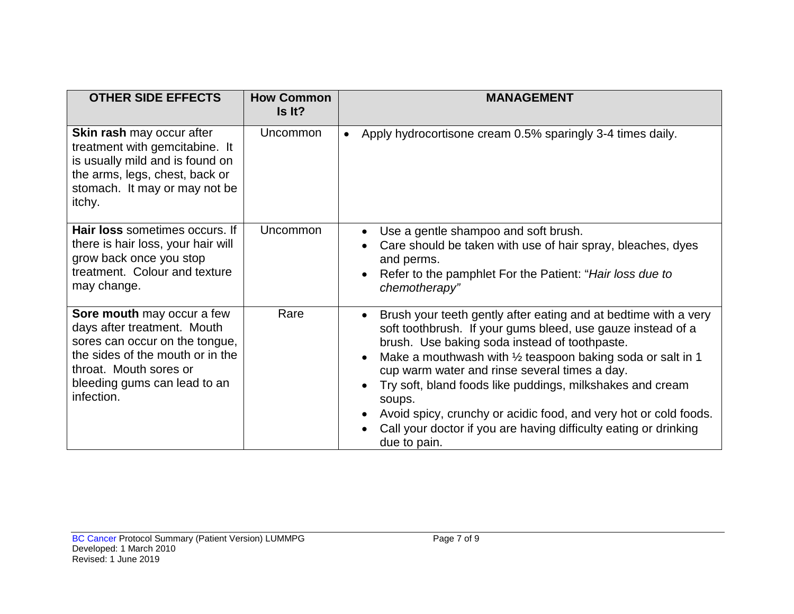| <b>OTHER SIDE EFFECTS</b>                                                                                                                                                                               | <b>How Common</b><br>Is It? | <b>MANAGEMENT</b>                                                                                                                                                                                                                                                                                                                                                                                                                                                                                                                        |
|---------------------------------------------------------------------------------------------------------------------------------------------------------------------------------------------------------|-----------------------------|------------------------------------------------------------------------------------------------------------------------------------------------------------------------------------------------------------------------------------------------------------------------------------------------------------------------------------------------------------------------------------------------------------------------------------------------------------------------------------------------------------------------------------------|
| <b>Skin rash may occur after</b><br>treatment with gemcitabine. It<br>is usually mild and is found on<br>the arms, legs, chest, back or<br>stomach. It may or may not be<br>itchy.                      | Uncommon                    | Apply hydrocortisone cream 0.5% sparingly 3-4 times daily.                                                                                                                                                                                                                                                                                                                                                                                                                                                                               |
| Hair loss sometimes occurs. If<br>there is hair loss, your hair will<br>grow back once you stop<br>treatment. Colour and texture<br>may change.                                                         | Uncommon                    | Use a gentle shampoo and soft brush.<br>Care should be taken with use of hair spray, bleaches, dyes<br>and perms.<br>Refer to the pamphlet For the Patient: "Hair loss due to<br>chemotherapy"                                                                                                                                                                                                                                                                                                                                           |
| Sore mouth may occur a few<br>days after treatment. Mouth<br>sores can occur on the tongue,<br>the sides of the mouth or in the<br>throat. Mouth sores or<br>bleeding gums can lead to an<br>infection. | Rare                        | Brush your teeth gently after eating and at bedtime with a very<br>soft toothbrush. If your gums bleed, use gauze instead of a<br>brush. Use baking soda instead of toothpaste.<br>Make a mouthwash with $\frac{1}{2}$ teaspoon baking soda or salt in 1<br>cup warm water and rinse several times a day.<br>Try soft, bland foods like puddings, milkshakes and cream<br>soups.<br>Avoid spicy, crunchy or acidic food, and very hot or cold foods.<br>Call your doctor if you are having difficulty eating or drinking<br>due to pain. |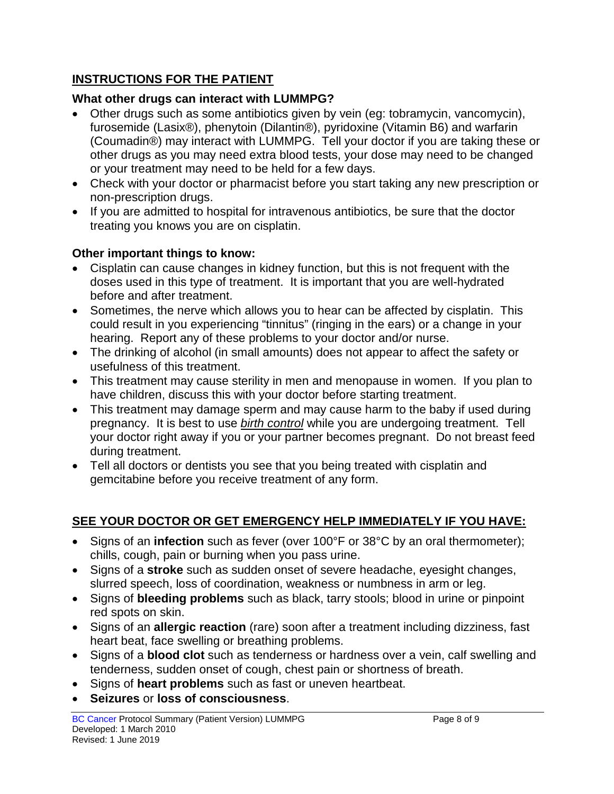## **INSTRUCTIONS FOR THE PATIENT**

## **What other drugs can interact with LUMMPG?**

- Other drugs such as some antibiotics given by vein (eg: tobramycin, vancomycin), furosemide (Lasix®), phenytoin (Dilantin®), pyridoxine (Vitamin B6) and warfarin (Coumadin®) may interact with LUMMPG. Tell your doctor if you are taking these or other drugs as you may need extra blood tests, your dose may need to be changed or your treatment may need to be held for a few days.
- Check with your doctor or pharmacist before you start taking any new prescription or non-prescription drugs.
- If you are admitted to hospital for intravenous antibiotics, be sure that the doctor treating you knows you are on cisplatin.

## **Other important things to know:**

- Cisplatin can cause changes in kidney function, but this is not frequent with the doses used in this type of treatment. It is important that you are well-hydrated before and after treatment.
- Sometimes, the nerve which allows you to hear can be affected by cisplatin. This could result in you experiencing "tinnitus" (ringing in the ears) or a change in your hearing. Report any of these problems to your doctor and/or nurse.
- The drinking of alcohol (in small amounts) does not appear to affect the safety or usefulness of this treatment.
- This treatment may cause sterility in men and menopause in women. If you plan to have children, discuss this with your doctor before starting treatment.
- This treatment may damage sperm and may cause harm to the baby if used during pregnancy. It is best to use *birth control* while you are undergoing treatment. Tell your doctor right away if you or your partner becomes pregnant. Do not breast feed during treatment.
- Tell all doctors or dentists you see that you being treated with cisplatin and gemcitabine before you receive treatment of any form.

# **SEE YOUR DOCTOR OR GET EMERGENCY HELP IMMEDIATELY IF YOU HAVE:**

- Signs of an **infection** such as fever (over 100°F or 38°C by an oral thermometer); chills, cough, pain or burning when you pass urine.
- Signs of a **stroke** such as sudden onset of severe headache, eyesight changes, slurred speech, loss of coordination, weakness or numbness in arm or leg.
- Signs of **bleeding problems** such as black, tarry stools; blood in urine or pinpoint red spots on skin.
- Signs of an **allergic reaction** (rare) soon after a treatment including dizziness, fast heart beat, face swelling or breathing problems.
- Signs of a **blood clot** such as tenderness or hardness over a vein, calf swelling and tenderness, sudden onset of cough, chest pain or shortness of breath.
- Signs of **heart problems** such as fast or uneven heartbeat.
- **Seizures** or **loss of consciousness**.